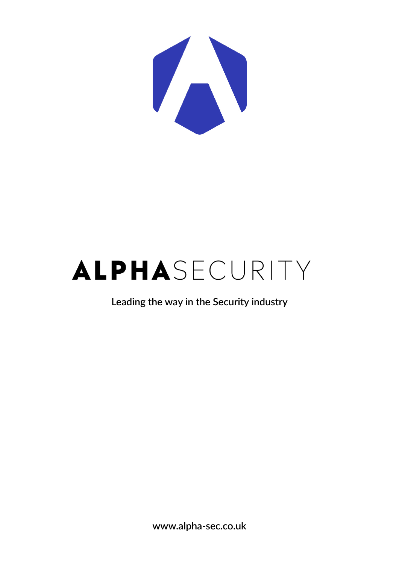

# ALPHASECURITY

**Leading the way in the Security industry**

**www.alpha-sec.co.uk**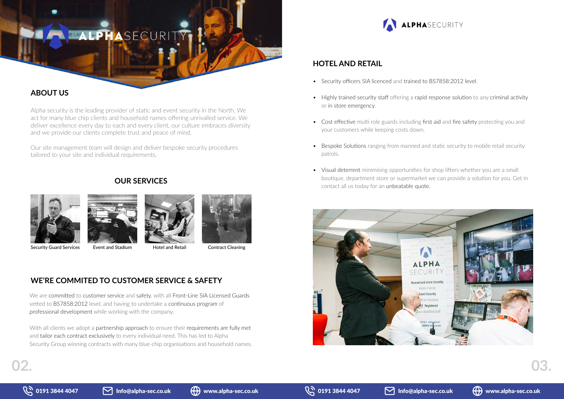# ALPHASECURI

# **ABOUT US**

Alpha security is the leading provider of static and event security in the North. We act for many blue chip clients and household names offering unrivalled service. We deliver excellence every day to each and every client, our culture embraces diversity and we provide our clients complete trust and peace of mind.

Our site management team will design and deliver bespoke security procedures tailored to your site and individual requirements.



# **WE'RE COMMITED TO CUSTOMER SERVICE & SAFETY**

With all clients we adopt a partnership approach to ensure their requirements are fully met and tailor each contract exclusively to every individual need. This has led to Alpha Security Group winning contracts with many blue-chip organisations and household names.



We are committed to customer service and safety, with all Front-Line SIA Licensed Guards vetted to BS7858:2012 level, and having to undertake a continuous program of professional development while working with the company.

# **OUR SERVICES**







Security Guard Services Event and Stadium Hotel and Retail Contract Cleaning

# **HOTEL AND RETAIL**

- Security officers SIA licenced and trained to BS7858:2012 level.
- Highly trained security staff offering a rapid response solution to any criminal activity or in store emergency.
- Cost effective multi role guards including first aid and fire safety protecting you and your customers while keeping costs down.
- Bespoke Solutions ranging from manned and static security to mobile retail security patrols.
- Visual deterrent minimising opportunities for shop lifters whether you are a small boutique, department store or supermarket we can provide a solution for you. Get in contact all us today for an unbeatable quote.





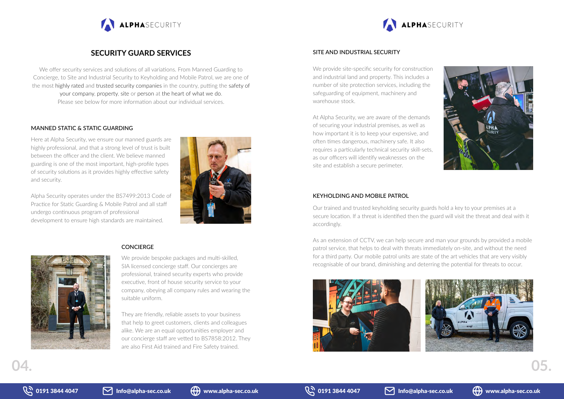

## SITE AND INDUSTRIAL SECURITY

We provide bespoke packages and multi-skilled, SIA licensed concierge staff. Our concierges are professional, trained security experts who provide executive, front of house security service to your company, obeying all company rules and wearing the suitable uniform.

They are friendly, reliable assets to your business that help to greet customers, clients and colleagues alike. We are an equal opportunities employer and our concierge staff are vetted to BS7858:2012. They are also First Aid trained and Fire Safety trained.



# **SECURITY GUARD SERVICES**

We offer security services and solutions of all variations. From Manned Guarding to Concierge, to Site and Industrial Security to Keyholding and Mobile Patrol, we are one of the most highly rated and trusted security companies in the country, putting the safety of your company, property, site or person at the heart of what we do. Please see below for more information about our individual services.

We provide site-specific security for construction and industrial land and property. This includes a number of site protection services, including the safeguarding of equipment, machinery and warehouse stock.

#### MANNED STATIC & STATIC GUARDING

Here at Alpha Security, we ensure our manned guards are highly professional, and that a strong level of trust is built between the officer and the client. We believe manned guarding is one of the most important, high-profile types of security solutions as it provides highly effective safety and security.

Alpha Security operates under the BS7499:2013 Code of Practice for Static Guarding & Mobile Patrol and all staff undergo continuous program of professional development to ensure high standards are maintained.





#### **CONCIERGE**

### KEYHOLDING AND MOBILE PATROL

At Alpha Security, we are aware of the demands of securing your industrial premises, as well as how important it is to keep your expensive, and often times dangerous, machinery safe. It also requires a particularly technical security skill-sets, as our officers will identify weaknesses on the site and establish a secure perimeter.

Our trained and trusted keyholding security guards hold a key to your premises at a secure location. If a threat is identified then the guard will visit the threat and deal with it accordingly.

As an extension of CCTV, we can help secure and man your grounds by provided a mobile patrol service, that helps to deal with threats immediately on-site, and without the need for a third party. Our mobile patrol units are state of the art vehicles that are very visibly recognisable of our brand, diminishing and deterring the potential for threats to occur.







# ALPHASECURITY



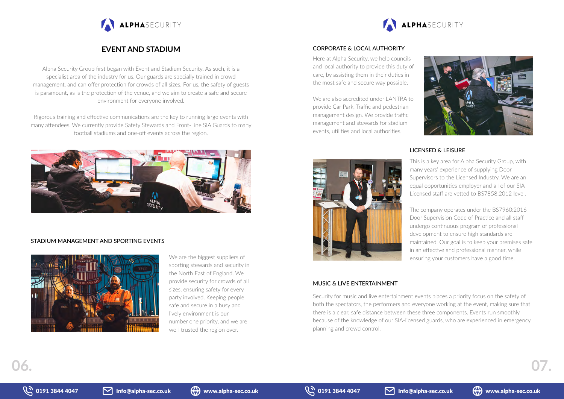



Alpha Security Group first began with Event and Stadium Security. As such, it is a specialist area of the industry for us. Our guards are specially trained in crowd management, and can offer protection for crowds of all sizes. For us, the safety of guests is paramount, as is the protection of the venue, and we aim to create a safe and secure environment for everyone involved.

> We are the biggest suppliers of sporting stewards and security in the North East of England. We provide security for crowds of all sizes, ensuring safety for every party involved. Keeping people safe and secure in a busy and lively environment is our number one priority, and we are well-trusted the region over.

Rigorous training and effective communications are the key to running large events with many attendees. We currently provide Safety Stewards and Front-Line SIA Guards to many football stadiums and one-off events across the region.









## CORPORATE & LOCAL AUTHORITY

## STADIUM MANAGEMENT AND SPORTING EVENTS



# LICENSED & LEISURE

This is a key area for Alpha Security Group, with many years' experience of supplying Door Supervisors to the Licensed Industry. We are an equal opportunities employer and all of our SIA Licensed staff are vetted to BS7858:2012 level.

The company operates under the BS7960:2016 Door Supervision Code of Practice and all staff undergo continuous program of professional development to ensure high standards are maintained. Our goal is to keep your premises safe in an effective and professional manner, while ensuring your customers have a good time.

Here at Alpha Security, we help councils and local authority to provide this duty of care, by assisting them in their duties in the most safe and secure way possible.

We are also accredited under LANTRA to provide Car Park, Traffic and pedestrian management design. We provide traffic management and stewards for stadium events, utilities and local authorities.

Security for music and live entertainment events places a priority focus on the safety of both the spectators, the performers and everyone working at the event, making sure that there is a clear, safe distance between these three components. Events run smoothly because of the knowledge of our SIA-licensed guards, who are experienced in emergency planning and crowd control.

#### MUSIC & LIVE ENTERTAINMENT